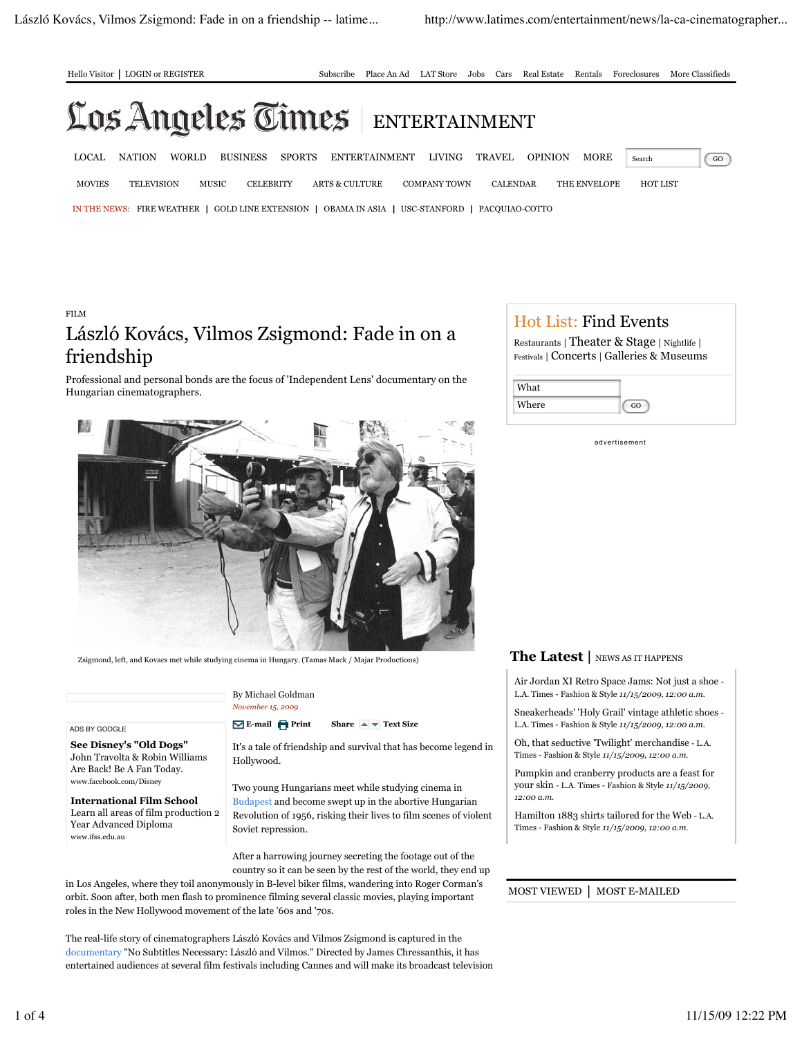

Hello Visitor | LOGIN or REGISTER Subscribe Place An Ad LAT Store Jobs Cars Real Estate Rentals Foreclosures More Classifieds

# Los Angeles Times ENTERTAINMENT

IN THE NEWS: FIRE WEATHER | GOLD LINE EXTENSION | OBAMA IN ASIA | USC-STANFORD | PACQUIAO-COTTO LOCAL NATION WORLD BUSINESS SPORTS ENTERTAINMENT LIVING TRAVEL OPINION MORE Search GO MOVIES TELEVISION MUSIC CELEBRITY ARTS & CULTURE COMPANY TOWN CALENDAR THE ENVELOPE HOT LIST

# FILM László Kovács, Vilmos Zsigmond: Fade in on a friendship

Professional and personal bonds are the focus of 'Independent Lens' documentary on the Hungarian cinematographers.



Zsigmond, left, and Kovacs met while studying cinema in Hungary. (Tamas Mack / Majar Productions)

ADS BY GOOGLE

**See Disney's "Old Dogs"** John Travolta & Robin Williams Are Back! Be A Fan Today. www.facebook.com/Disney

**International Film School** Learn all areas of film production 2 Year Advanced Diploma www.ifss.edu.au

By Michael Goldman *November 15, 2009*

**E-mail Print Share A Text Size** 

It's a tale of friendship and survival that has become legend in Hollywood.

Two young Hungarians meet while studying cinema in Budapest and become swept up in the abortive Hungarian Revolution of 1956, risking their lives to film scenes of violent Soviet repression.

After a harrowing journey secreting the footage out of the country so it can be seen by the rest of the world, they end up

in Los Angeles, where they toil anonymously in B-level biker films, wandering into Roger Corman's orbit. Soon after, both men flash to prominence filming several classic movies, playing important roles in the New Hollywood movement of the late '60s and '70s.

The real-life story of cinematographers László Kovács and Vilmos Zsigmond is captured in the documentary "No Subtitles Necessary: László and Vilmos." Directed by James Chressanthis, it has entertained audiences at several film festivals including Cannes and will make its broadcast television

## Hot List: Find Events

Restaurants | Theater & Stage | Nightlife | Festivals | Concerts | Galleries & Museums

| What  |  |
|-------|--|
| Where |  |

advertisement

### **The Latest |** NEWS AS IT HAPPENS

Air Jordan XI Retro Space Jams: Not just a shoe - L.A. Times - Fashion & Style *11/15/2009, 12:00 a.m.*

Sneakerheads' 'Holy Grail' vintage athletic shoes - L.A. Times - Fashion & Style *11/15/2009, 12:00 a.m.*

Oh, that seductive 'Twilight' merchandise - L.A. Times - Fashion & Style *11/15/2009, 12:00 a.m.*

Pumpkin and cranberry products are a feast for your skin - L.A. Times - Fashion & Style *11/15/2009, 12:00 a.m.*

Hamilton 1883 shirts tailored for the Web - L.A. Times - Fashion & Style *11/15/2009, 12:00 a.m.*

MOST VIEWED | MOST E-MAILED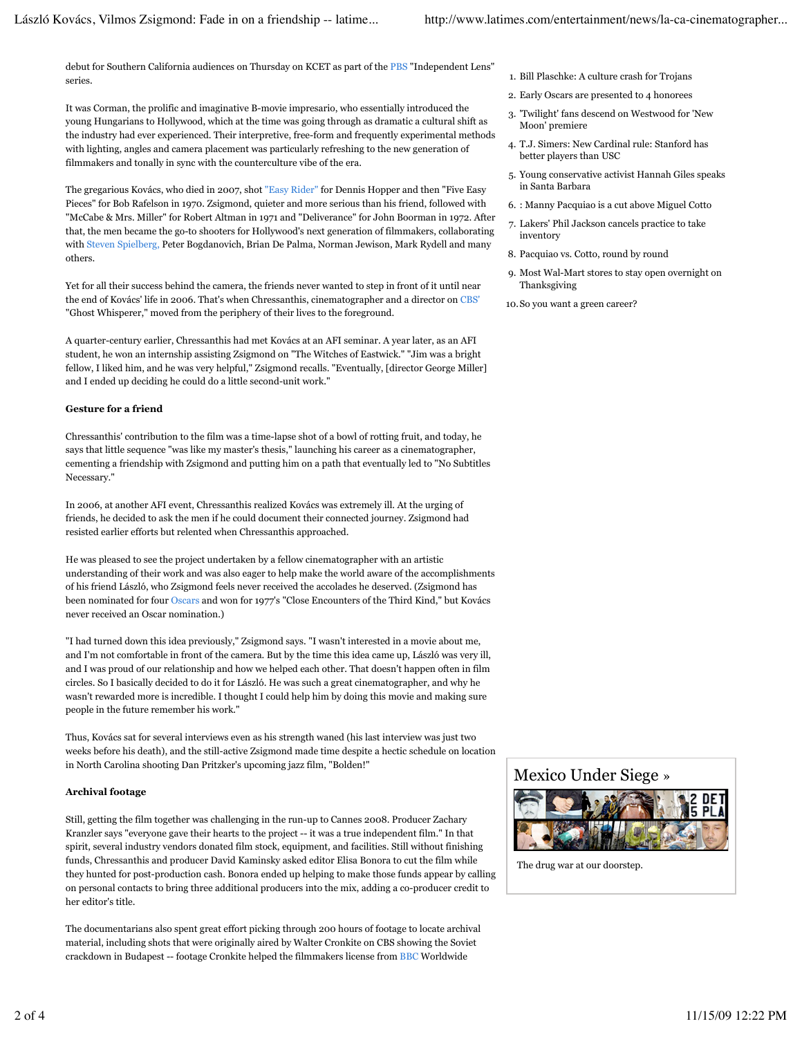debut for Southern California audiences on Thursday on KCET as part of the PBS "Independent Lens" series.

It was Corman, the prolific and imaginative B-movie impresario, who essentially introduced the young Hungarians to Hollywood, which at the time was going through as dramatic a cultural shift as the industry had ever experienced. Their interpretive, free-form and frequently experimental methods with lighting, angles and camera placement was particularly refreshing to the new generation of filmmakers and tonally in sync with the counterculture vibe of the era.

The gregarious Kovács, who died in 2007, shot "Easy Rider" for Dennis Hopper and then "Five Easy Pieces" for Bob Rafelson in 1970. Zsigmond, quieter and more serious than his friend, followed with "McCabe & Mrs. Miller" for Robert Altman in 1971 and "Deliverance" for John Boorman in 1972. After that, the men became the go-to shooters for Hollywood's next generation of filmmakers, collaborating with Steven Spielberg, Peter Bogdanovich, Brian De Palma, Norman Jewison, Mark Rydell and many others.

Yet for all their success behind the camera, the friends never wanted to step in front of it until near the end of Kovács' life in 2006. That's when Chressanthis, cinematographer and a director on CBS' "Ghost Whisperer," moved from the periphery of their lives to the foreground.

A quarter-century earlier, Chressanthis had met Kovács at an AFI seminar. A year later, as an AFI student, he won an internship assisting Zsigmond on "The Witches of Eastwick." "Jim was a bright fellow, I liked him, and he was very helpful," Zsigmond recalls. "Eventually, [director George Miller] and I ended up deciding he could do a little second-unit work."

#### **Gesture for a friend**

Chressanthis' contribution to the film was a time-lapse shot of a bowl of rotting fruit, and today, he says that little sequence "was like my master's thesis," launching his career as a cinematographer, cementing a friendship with Zsigmond and putting him on a path that eventually led to "No Subtitles Necessary."

In 2006, at another AFI event, Chressanthis realized Kovács was extremely ill. At the urging of friends, he decided to ask the men if he could document their connected journey. Zsigmond had resisted earlier efforts but relented when Chressanthis approached.

He was pleased to see the project undertaken by a fellow cinematographer with an artistic understanding of their work and was also eager to help make the world aware of the accomplishments of his friend László, who Zsigmond feels never received the accolades he deserved. (Zsigmond has been nominated for four Oscars and won for 1977's "Close Encounters of the Third Kind," but Kovács never received an Oscar nomination.)

"I had turned down this idea previously," Zsigmond says. "I wasn't interested in a movie about me, and I'm not comfortable in front of the camera. But by the time this idea came up, László was very ill, and I was proud of our relationship and how we helped each other. That doesn't happen often in film circles. So I basically decided to do it for László. He was such a great cinematographer, and why he wasn't rewarded more is incredible. I thought I could help him by doing this movie and making sure people in the future remember his work."

Thus, Kovács sat for several interviews even as his strength waned (his last interview was just two weeks before his death), and the still-active Zsigmond made time despite a hectic schedule on location in North Carolina shooting Dan Pritzker's upcoming jazz film, "Bolden!"

#### **Archival footage**

Still, getting the film together was challenging in the run-up to Cannes 2008. Producer Zachary Kranzler says "everyone gave their hearts to the project -- it was a true independent film." In that spirit, several industry vendors donated film stock, equipment, and facilities. Still without finishing funds, Chressanthis and producer David Kaminsky asked editor Elisa Bonora to cut the film while they hunted for post-production cash. Bonora ended up helping to make those funds appear by calling on personal contacts to bring three additional producers into the mix, adding a co-producer credit to her editor's title.

The documentarians also spent great effort picking through 200 hours of footage to locate archival material, including shots that were originally aired by Walter Cronkite on CBS showing the Soviet crackdown in Budapest -- footage Cronkite helped the filmmakers license from BBC Worldwide

- 1. Bill Plaschke: A culture crash for Trojans
- 2. Early Oscars are presented to 4 honorees
- 3. 'Twilight' fans descend on Westwood for 'New Moon' premiere
- 4. T.J. Simers: New Cardinal rule: Stanford has better players than USC
- 5. Young conservative activist Hannah Giles speaks in Santa Barbara
- 6. : Manny Pacquiao is a cut above Miguel Cotto
- 7. Lakers' Phil Jackson cancels practice to take inventory
- 8. Pacquiao vs. Cotto, round by round
- 9. Most Wal-Mart stores to stay open overnight on Thanksgiving
- 10. So you want a green career?

### Mexico Under Siege »



The drug war at our doorstep.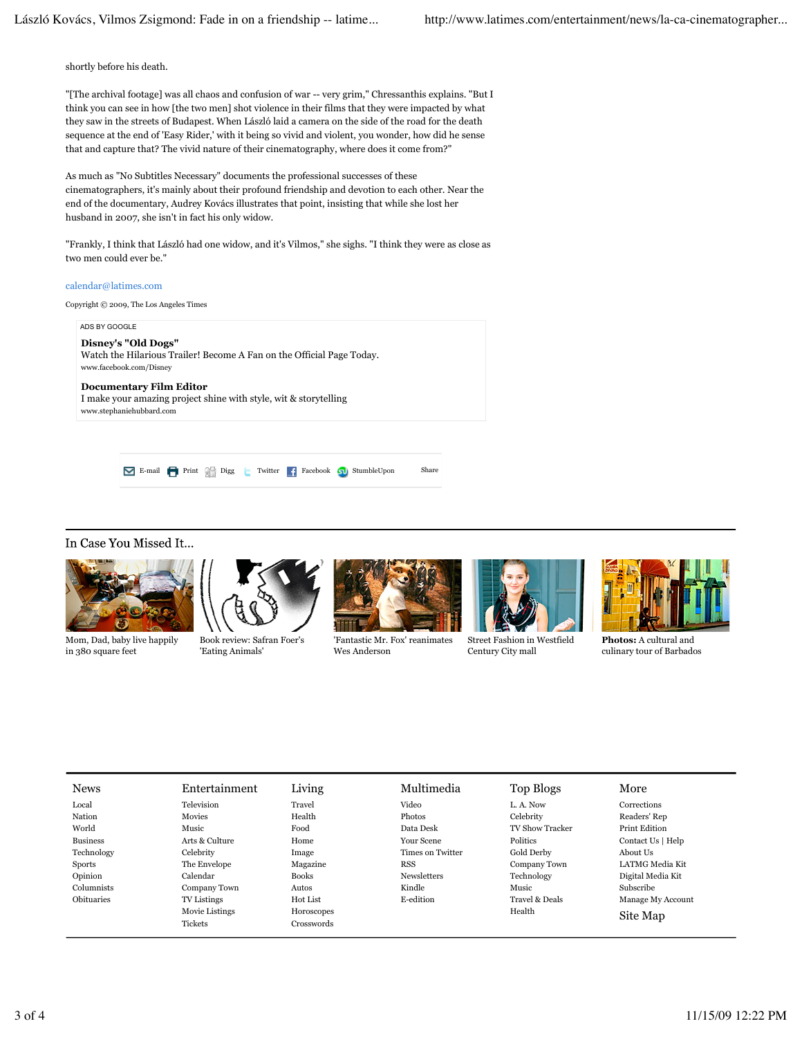shortly before his death.

"[The archival footage] was all chaos and confusion of war -- very grim," Chressanthis explains. "But I think you can see in how [the two men] shot violence in their films that they were impacted by what they saw in the streets of Budapest. When László laid a camera on the side of the road for the death sequence at the end of 'Easy Rider,' with it being so vivid and violent, you wonder, how did he sense that and capture that? The vivid nature of their cinematography, where does it come from?"

As much as "No Subtitles Necessary" documents the professional successes of these cinematographers, it's mainly about their profound friendship and devotion to each other. Near the end of the documentary, Audrey Kovács illustrates that point, insisting that while she lost her husband in 2007, she isn't in fact his only widow.

"Frankly, I think that László had one widow, and it's Vilmos," she sighs. "I think they were as close as two men could ever be."

#### calendar@latimes.com

Copyright © 2009, The Los Angeles Times

ADS BY GOOGLE **Disney's "Old Dogs"** Watch the Hilarious Trailer! Become A Fan on the Official Page Today. www.facebook.com/Disney

**Documentary Film Editor** I make your amazing project shine with style, wit & storytelling www.stephaniehubbard.com

E-mail Print Chapter Twitter Facebook Supplement Share

#### In Case You Missed It...



Mom, Dad, baby live happily in 380 square feet



Book review: Safran Foer's 'Eating Animals'



'Fantastic Mr. Fox' reanimates Wes Anderson



Street Fashion in Westfield Century City mall



**Photos:** A cultural and culinary tour of Barbados

| <b>News</b>     | Entertainment      | Living       | Multimedia         | Top Blogs              | More              |  |
|-----------------|--------------------|--------------|--------------------|------------------------|-------------------|--|
| Local           | Television         | Travel       | Video              | L. A. Now              | Corrections       |  |
| Nation          | Movies             | Health       | Photos             | Celebrity              | Readers' Rep      |  |
| World           | Music              | Food         | Data Desk          | <b>TV Show Tracker</b> | Print Edition     |  |
| <b>Business</b> | Arts & Culture     | Home         | Your Scene         | Politics               | Contact Us   Help |  |
| Technology      | Celebrity          | Image        | Times on Twitter   | Gold Derby             | About Us          |  |
| <b>Sports</b>   | The Envelope       | Magazine     | <b>RSS</b>         | Company Town           | LATMG Media Kit   |  |
| Opinion         | Calendar           | <b>Books</b> | <b>Newsletters</b> | Technology             | Digital Media Kit |  |
| Columnists      | Company Town       | Autos        | Kindle             | Music                  | <b>Subscribe</b>  |  |
| Obituaries      | <b>TV</b> Listings | Hot List     | E-edition          | Travel & Deals         | Manage My Account |  |
|                 | Movie Listings     | Horoscopes   |                    | Health                 | Site Map          |  |
|                 | <b>Tickets</b>     | Crosswords   |                    |                        |                   |  |